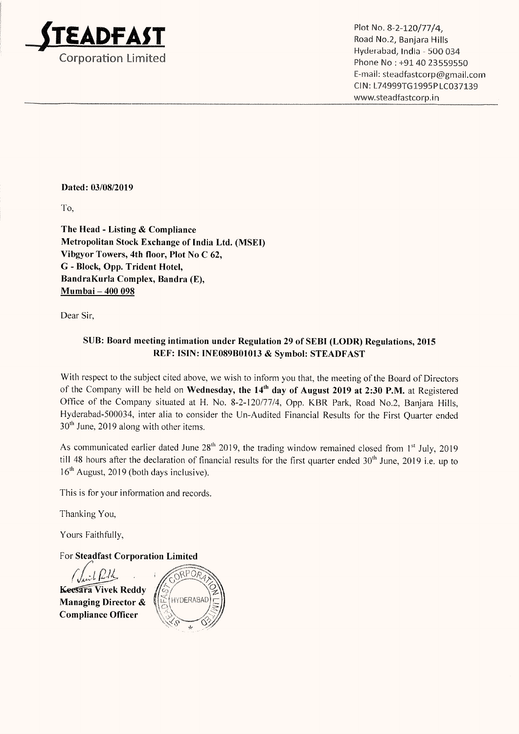

Hyderabad, India - 500 034 Corporation Limited **Phone No 2001-2008** Phone No : +91 40 23559550 E—mail: steadfastcorp@gmail.com CI N: L74999T61995P LC037139 www.3teadfastcorp.in

## Dated: 03/08/2019

To,

The Head - Listing & Compliance Metropolitan Stock Exchange of India Ltd. (MSEI) Vibgyor Towers, 4th floor, Plot No C 62, G - Block, Opp. Trident Hotel, BandraKurla Complex, Bandra (E), Mumbai — 400 098

Dear Sir,

## SUB: Board meeting intimation under Regulation <sup>29</sup> of SEBI (LODR) Regulations, <sup>2015</sup> REF: ISIN: INE089B01013 & Symbol: STEADFAST

With respect to the subject cited above, we wish to inform you that, the meeting of the Board of Directors of the Company will be held on Wednesday, the 14<sup>th</sup> day of August 2019 at 2:30 P.M. at Registered Office of the Company situated at H. No. 8-2—120/77/4, Opp. KBR Park, Road No.2, Banjara Hills, Hyderabad-500034, inter alia to consider the Un-Audited Financial Results for the First Quarter ended  $30<sup>th</sup>$  June, 2019 along with other items.

As communicated earlier dated June  $28<sup>th</sup> 2019$ , the trading window remained closed from  $1<sup>st</sup>$  July, 2019 till 48 hours after the declaration of financial results for the first quarter ended 30<sup>th</sup> June, 2019 i.e. up to 16<sup>th</sup> August, 2019 (both days inclusive).

This is for your information and records.

Thanking You,

Yours Faithfully,

For Steadfast Corporation Limited

 $\mathcal{L}/\mathcal{L}$ **Keesara Vivek Reddy** Managing Director & Compliance Officer